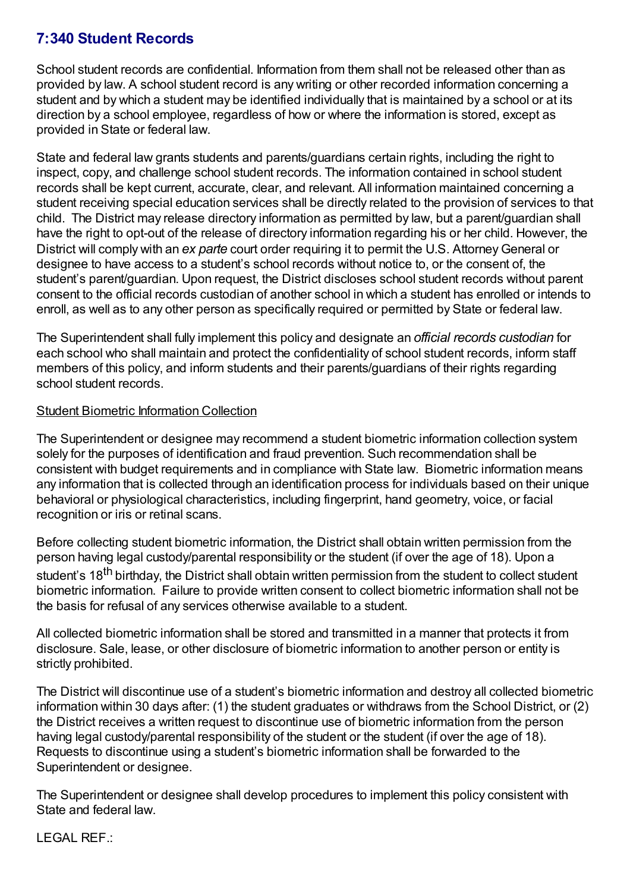## **7:340 Student Records**

School student records are confidential. Information from them shall not be released other than as provided by law. A school student record is any writing or other recorded information concerning a student and by which a student may be identified individually that is maintained by a school or at its direction by a school employee, regardless of how or where the information is stored, except as provided in State or federal law.

State and federal law grants students and parents/guardians certain rights, including the right to inspect, copy, and challenge school student records. The information contained in school student records shall be kept current, accurate, clear, and relevant. All information maintained concerning a student receiving special education services shall be directly related to the provision of services to that child. The District may release directory information as permitted by law, but a parent/guardian shall have the right to opt-out of the release of directory information regarding his or her child. However, the District will comply with an *ex parte* court order requiring it to permit the U.S. Attorney General or designee to have access to a student's school records without notice to, or the consent of, the student's parent/guardian. Upon request, the District discloses school student records without parent consent to the official records custodian of another school in which a student has enrolled or intends to enroll, as well as to any other person as specifically required or permitted by State or federal law.

The Superintendent shall fully implement this policy and designate an *official records custodian* for each school who shall maintain and protect the confidentiality of school student records, inform staff members of this policy, and inform students and their parents/guardians of their rights regarding school student records.

## Student Biometric Information Collection

The Superintendent or designee may recommend a student biometric information collection system solely for the purposes of identification and fraud prevention. Such recommendation shall be consistent with budget requirements and in compliance with State law. Biometric information means any information that is collected through an identification process for individuals based on their unique behavioral or physiological characteristics, including fingerprint, hand geometry, voice, or facial recognition or iris or retinal scans.

Before collecting student biometric information, the District shall obtain written permission from the person having legal custody/parental responsibility or the student (if over the age of 18). Upon a student's 18<sup>th</sup> birthday, the District shall obtain written permission from the student to collect student biometric information. Failure to provide written consent to collect biometric information shall not be the basis for refusal of any services otherwise available to a student.

All collected biometric information shall be stored and transmitted in a manner that protects it from disclosure. Sale, lease, or other disclosure of biometric information to another person or entity is strictly prohibited.

The District will discontinue use of a student's biometric information and destroy all collected biometric information within 30 days after: (1) the student graduates or withdraws from the School District, or (2) the District receives a written request to discontinue use of biometric information from the person having legal custody/parental responsibility of the student or the student (if over the age of 18). Requests to discontinue using a student's biometric information shall be forwarded to the Superintendent or designee.

The Superintendent or designee shall develop procedures to implement this policy consistent with State and federal law.

LEGAL REF.: